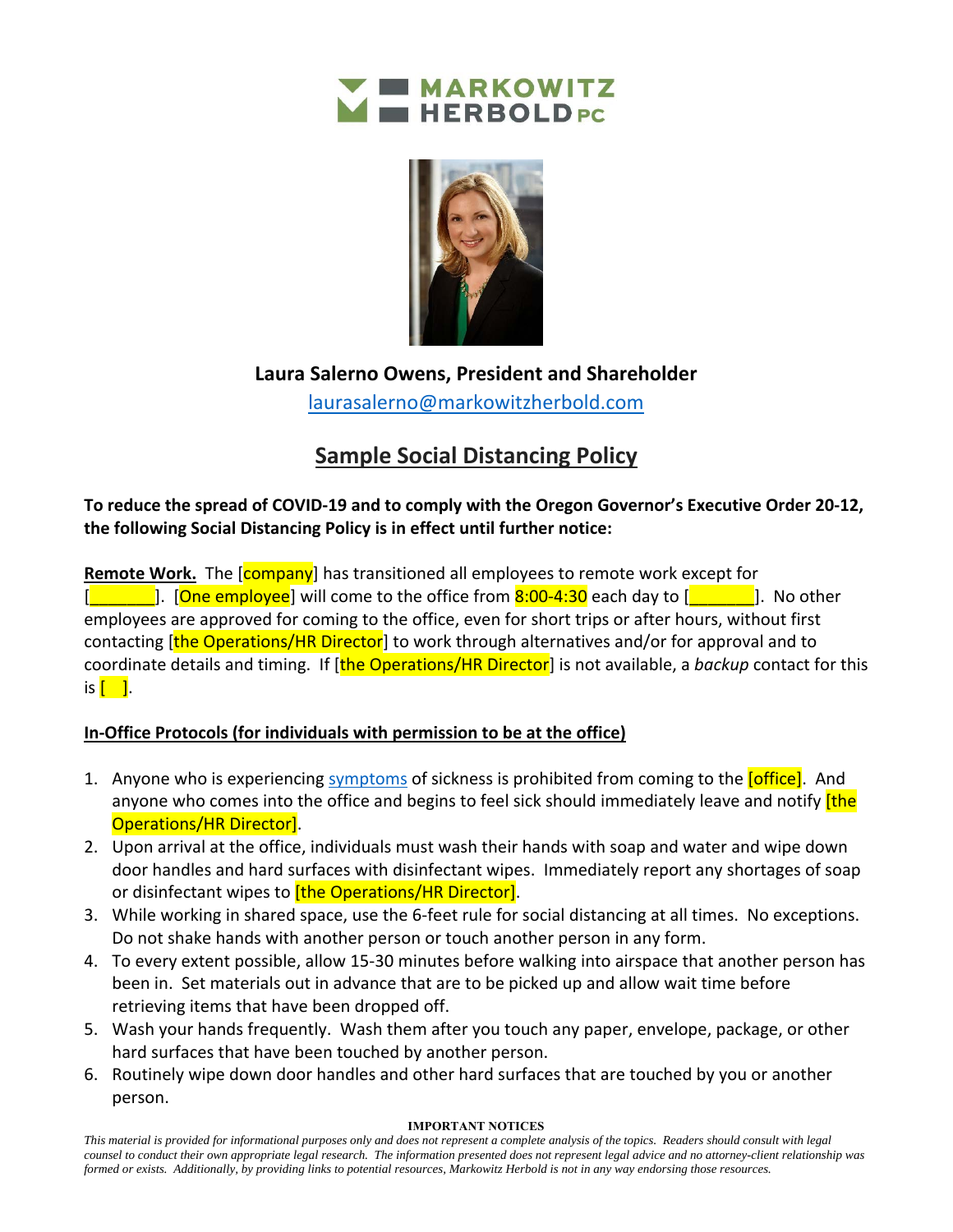



**Laura Salerno Owens, President and Shareholder**  laurasalerno@markowitzherbold.com

## **Sample Social Distancing Policy**

**To reduce the spread of COVID‐19 and to comply with the Oregon Governor's Executive Order 20‐12, the following Social Distancing Policy is in effect until further notice:** 

**Remote Work.** The [**company**] has transitioned all employees to remote work except for  $\Box$ ]. [One employee] will come to the office from 8:00-4:30 each day to  $\Box$   $\Box$ ]. No other employees are approved for coming to the office, even for short trips or after hours, without first contacting [the Operations/HR Director] to work through alternatives and/or for approval and to coordinate details and timing. If [the Operations/HR Director] is not available, a *backup* contact for this is  $\begin{bmatrix} 1 \end{bmatrix}$ .

## **In‐Office Protocols (for individuals with permission to be at the office)**

- 1. Anyone who is experiencing symptoms of sickness is prohibited from coming to the *[office]*. And anyone who comes into the office and begins to feel sick should immediately leave and notify *[the*] Operations/HR Director].
- 2. Upon arrival at the office, individuals must wash their hands with soap and water and wipe down door handles and hard surfaces with disinfectant wipes. Immediately report any shortages of soap or disinfectant wipes to *[the Operations/HR Director]*.
- 3. While working in shared space, use the 6‐feet rule for social distancing at all times. No exceptions. Do not shake hands with another person or touch another person in any form.
- 4. To every extent possible, allow 15-30 minutes before walking into airspace that another person has been in. Set materials out in advance that are to be picked up and allow wait time before retrieving items that have been dropped off.
- 5. Wash your hands frequently. Wash them after you touch any paper, envelope, package, or other hard surfaces that have been touched by another person.
- 6. Routinely wipe down door handles and other hard surfaces that are touched by you or another person.

## **IMPORTANT NOTICES**

*This material is provided for informational purposes only and does not represent a complete analysis of the topics. Readers should consult with legal counsel to conduct their own appropriate legal research. The information presented does not represent legal advice and no attorney-client relationship was formed or exists. Additionally, by providing links to potential resources, Markowitz Herbold is not in any way endorsing those resources.*